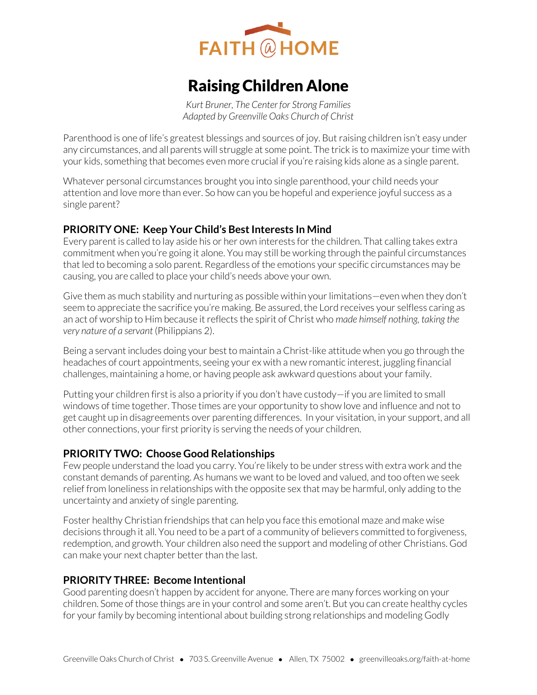

# Raising Children Alone

*Kurt Bruner, The Center for Strong Families Adapted by Greenville Oaks Church of Christ* 

Parenthood is one of life's greatest blessings and sources of joy. But raising children isn't easy under any circumstances, and all parents will struggle at some point. The trick is to maximize your time with your kids, something that becomes even more crucial if you're raising kids alone as a single parent.

Whatever personal circumstances brought you into single parenthood, your child needs your attention and love more than ever. So how can you be hopeful and experience joyful success as a single parent?

# **PRIORITY ONE: Keep Your Child's Best Interests In Mind**

Every parent is called to lay aside his or her own interests for the children. That calling takes extra commitment when you're going it alone. You may still be working through the painful circumstances that led to becoming a solo parent. Regardless of the emotions your specific circumstances may be causing, you are called to place your child's needs above your own.

Give them as much stability and nurturing as possible within your limitations—even when they don't seem to appreciate the sacrifice you're making. Be assured, the Lord receives your selfless caring as an act of worship to Him because it reflects the spirit of Christ who *made himself nothing, taking the very nature of a servant* (Philippians 2).

Being a servant includes doing your best to maintain a Christ-like attitude when you go through the headaches of court appointments, seeing your ex with a new romantic interest, juggling financial challenges, maintaining a home, or having people ask awkward questions about your family.

Putting your children first is also a priority if you don't have custody—if you are limited to small windows of time together. Those times are your opportunity to show love and influence and not to get caught up in disagreements over parenting differences. In your visitation, in your support, and all other connections, your first priority is serving the needs of your children.

# **PRIORITY TWO: Choose Good Relationships**

Few people understand the load you carry. You're likely to be under stress with extra work and the constant demands of parenting. As humans we want to be loved and valued, and too often we seek relief from loneliness in relationships with the opposite sex that may be harmful, only adding to the uncertainty and anxiety of single parenting.

Foster healthy Christian friendships that can help you face this emotional maze and make wise decisions through it all. You need to be a part of a community of believers committed to forgiveness, redemption, and growth. Your children also need the support and modeling of other Christians. God can make your next chapter better than the last.

## **PRIORITY THREE: Become Intentional**

Good parenting doesn't happen by accident for anyone. There are many forces working on your children. Some of those things are in your control and some aren't. But you can create healthy cycles for your family by becoming intentional about building strong relationships and modeling Godly